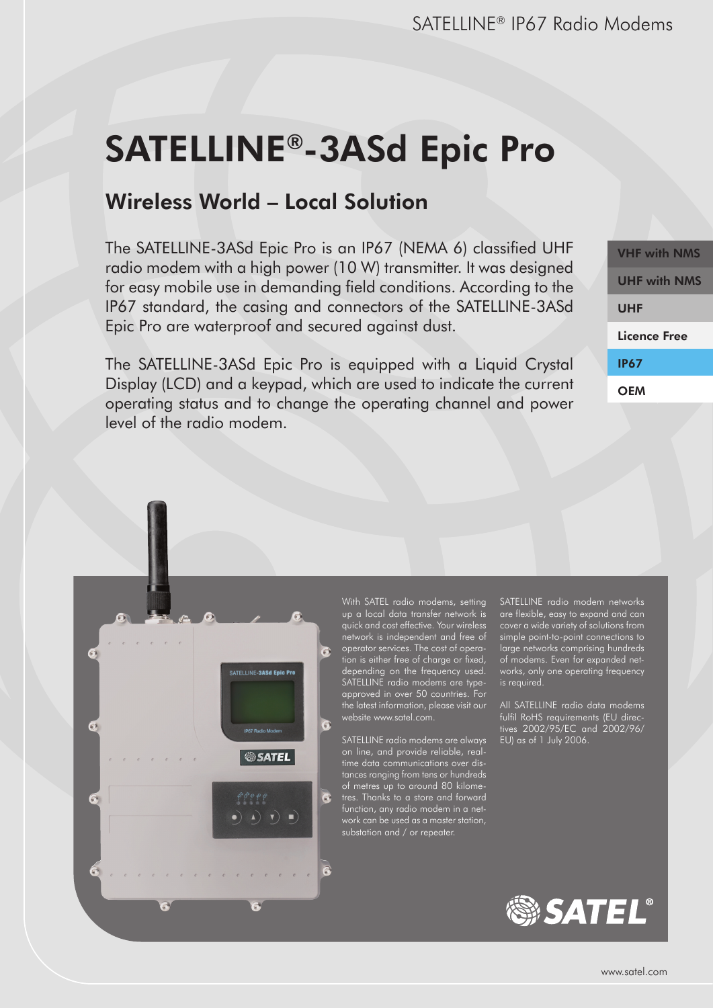# SATELLINE®-3ASd Epic Pro

## Wireless World – Local Solution

The SATELLINE-3ASd Epic Pro is an IP67 (NEMA 6) classified UHF radio modem with a high power (10 W) transmitter. It was designed for easy mobile use in demanding field conditions. According to the IP67 standard, the casing and connectors of the SATELLINE-3ASd Epic Pro are waterproof and secured against dust.

The SATELLINE-3ASd Epic Pro is equipped with a Liquid Crystal Display (LCD) and a keypad, which are used to indicate the current operating status and to change the operating channel and power level of the radio modem.

VHF with NMS UHF with NMS UHF Licence Free IP67 **OFM** 



With SATEL radio modems, setting up a local data transfer network is quick and cost effective. Your wireless network is independent and free of operator services. The cost of operation is either free of charge or fixed, depending on the frequency used. SATELLINE radio modems are typeapproved in over 50 countries. For the latest information, please visit our website www.satel.com.

SATELLINE radio modems are always on line, and provide reliable, realtime data communications over distances ranging from tens or hundreds of metres up to around 80 kilometres. Thanks to a store and forward function, any radio modem in a netsubstation and / or repeater.

SATELLINE radio modem networks are flexible, easy to expand and can cover a wide variety of solutions from simple point-to-point connections to large networks comprising hundreds of modems. Even for expanded networks, only one operating frequency is required.

All SATELLINE radio data modems fulfil RoHS requirements (EU directives 2002/95/EC and 2002/96/ EU) as of 1 July 2006.